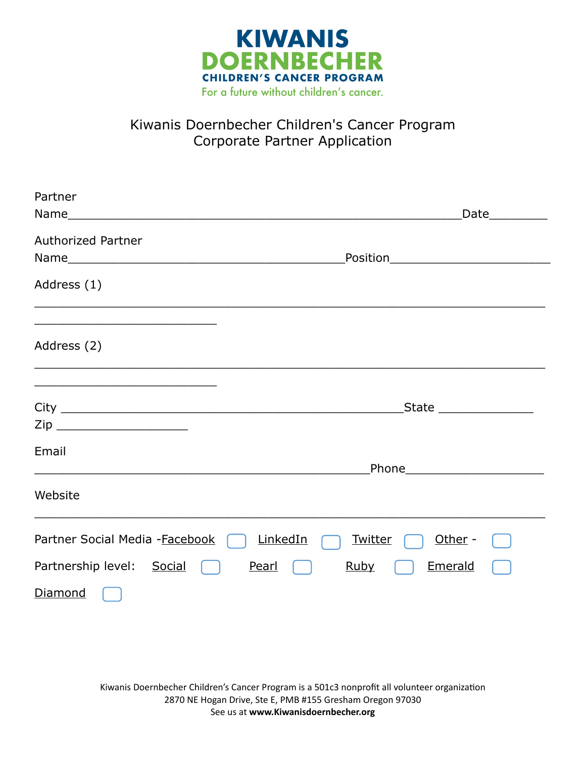

## Kiwanis Doernbecher Children's Cancer Program Corporate Partner Application

| Partner                                                                                                                        |                                       |
|--------------------------------------------------------------------------------------------------------------------------------|---------------------------------------|
|                                                                                                                                |                                       |
| <b>Authorized Partner</b>                                                                                                      |                                       |
| Address (1)                                                                                                                    |                                       |
| Address (2)                                                                                                                    |                                       |
|                                                                                                                                | State _________________               |
| Email<br><u> 1980 - Johann Stoff, amerikan bestein de stad in de stad in de stad in de stad in de stad in de stad in de st</u> | Phone_________________________        |
| Website                                                                                                                        |                                       |
| Partner Social Media - Facebook                                                                                                | LinkedIn<br><b>Twitter</b><br>Other - |
| Partnership level: Social                                                                                                      | Emerald<br>Pearl<br><b>Ruby</b>       |
| <b>Diamond</b>                                                                                                                 |                                       |
|                                                                                                                                |                                       |
|                                                                                                                                |                                       |

Kiwanis Doernbecher Children's Cancer Program is a 501c3 nonprofit all volunteer organization 2870 NE Hogan Drive, Ste E, PMB #155 Gresham Oregon 97030 See us at **www.Kiwanisdoernbecher.org**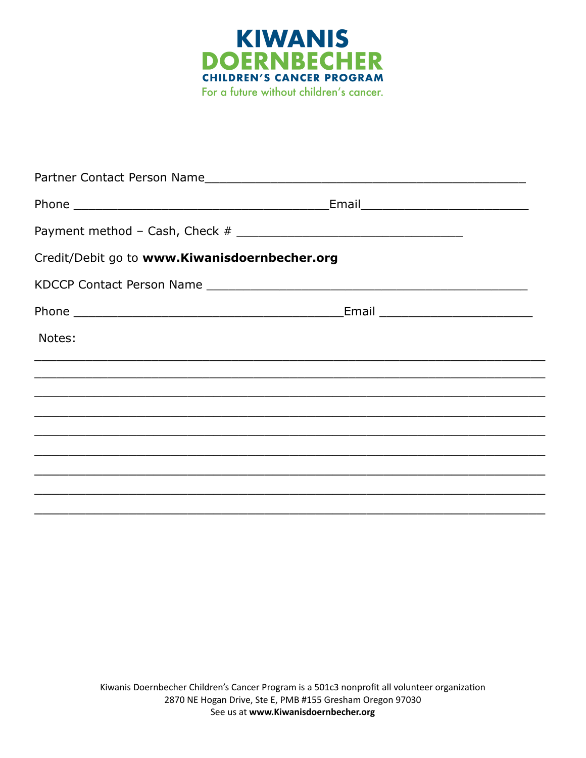

|                                               | Partner Contact Person Name                                                                                          |  |
|-----------------------------------------------|----------------------------------------------------------------------------------------------------------------------|--|
|                                               |                                                                                                                      |  |
|                                               |                                                                                                                      |  |
| Credit/Debit go to www.Kiwanisdoernbecher.org |                                                                                                                      |  |
|                                               |                                                                                                                      |  |
|                                               |                                                                                                                      |  |
| Notes:                                        |                                                                                                                      |  |
|                                               |                                                                                                                      |  |
|                                               | <u> 1980 - Jan Barat de Barat de la contrada de la contrada de la contrada de la contrada de la contrada de la c</u> |  |
|                                               |                                                                                                                      |  |
|                                               |                                                                                                                      |  |
|                                               |                                                                                                                      |  |
|                                               |                                                                                                                      |  |
|                                               |                                                                                                                      |  |